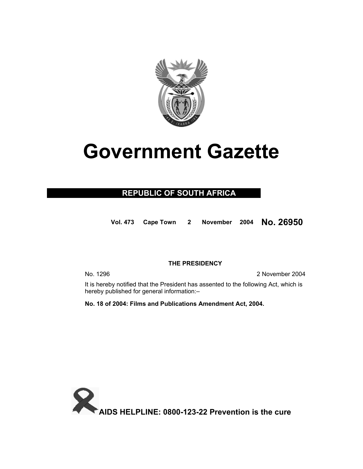

# **Government Gazette**

## **REPUBLIC OF SOUTH AFRICA**

**Vol. 473 Cape Town 2 November 2004 No. 26950**

### **THE PRESIDENCY**

No. 1296 2 November 2004

 It is hereby notified that the President has assented to the following Act, which is hereby published for general information:–

**No. 18 of 2004: Films and Publications Amendment Act, 2004.** 

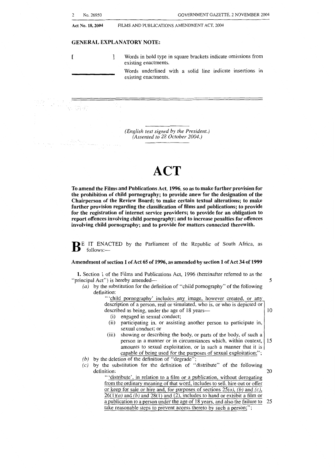| 2<br>No. 26950   | GOVERNMENT GAZETTE, 2 NOVEMBER 2004                                                   |
|------------------|---------------------------------------------------------------------------------------|
| Act No. 18, 2004 | FILMS AND PUBLICATIONS AMENDMENT ACT, 2004                                            |
|                  | <b>GENERAL EXPLANATORY NOTE:</b>                                                      |
|                  | Words in bold type in square brackets indicate omissions from<br>existing enactments. |
|                  | Words underlined with a solid line indicate insertions in<br>existing enactments.     |
|                  |                                                                                       |
|                  |                                                                                       |

*(English text signed by the President.) (Assented to 28 October 2004.)* 

. ..

## **ACT**

**To** amend the Films and Publications Act, **1996, so** as to make further provision for the prohibition of child pornography; to provide anew for the designation of the Chairperson of the Review Board; to make certain textual alterations; to make further provision regarding the classification of films and publications; to provide for the registration of internet service providers; to provide for an obligation to report offences involving child pornography; and to increase penalties for offences involving child pornography; and to provide for matters connected therewith.

**B** E IT ENACTED by the Parliament of the Republic of South Africa, as follows:-

#### Amendment of section **1** of Act **65** of **1996,** as amended by section **1** of Act **34 of 1999**

**1.** Section 1 of the Films and Publications Act, 1996 (hereinafter referred to as the "principal Act") is hereby amended— 5

*(a)* by the substitution for the definition of "child pornography" of the following definition:

> 'child pornography' includes any image, however created, or any description of a person, real or simulated, who is, or who is depicted or described as being, under the age of  $18 \text{ years}$   $\qquad \qquad \qquad$  10

- (i) engaged in sexual conduct;<br>(ii) participating in or assisting
- participating in, or assisting another person to participate in, sexual conduct; or
- (iii) showing or describing the body, or parts of the body, of such a person in a manner or in circumstances which, within context, 15 amounts to sexual exploitation, or in such a manner that it is capable of being used for the purposes of sexual exploitation;";
- *(b)* by the deletion of the definition of "degrade";
- $(c)$  by the substitution for the definition of "distribute" of the following definition: definition: 20

"'distribute', in relation to a film or a publication, without derogating from the ordinary meaning of that word, includes to sell, hire out or offer or keep for sale or hire and, for purposes of sections *25(a), (b)* and *(c),*   $26(1)(a)$  and *(b)* and  $28(1)$  and *(2)*, includes to hand or exhibit a film or a publication to a person under the age of 18 years, and also the failure to take reasonable steps to prevent access thereto by such a person;"; 25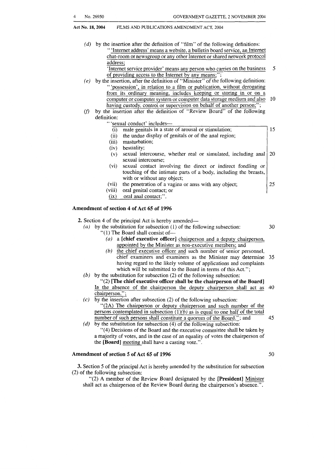*(d)* by the insertion after the definition of "film" of the following definitions: " 'Internet address' means a website, a bulletin board service, an Internet chat-room or newsgroup or any other Internet or shared network protocol address;

'Internet service provider' means any person who carries on the business *5*  of providing access to the Internet by any means;

- *(e)* by the insertion, after the definition of "Minister" of the following definition: "'possession', in relation to a film or publication, without derogating from its ordinary meaning, includes keeping or storing in or on a computer or computer system or computer data storage medium and also having custody, control or supervision on behalf of another person;"; 10
- (f) by the insertion after the definition of "Review Board" of the following definition:
	- 'sexual conduct' includes---
	- (i) male genitals in a state of arousal or stimulation; (ii) the undue display of genitals or of the anal region; (iii) masturbation; (iv) bestiality; (v) sexual intercourse, whether real or simulated, including anal sexual intercourse; (vi) sexual contact involving the direct or indirect fondling or touching of the intimate parts of a body, including the breasts, with or without any object; (vii) the penetration of a vagina or anus with any object; (viii) oral genital contact; or 15 20 **25** 
		- (ix) oral anal contact;".

#### **Amendment of section 4 of Act 65 of 1996**

**2.** Section 4 of the principal Act is hereby amended—

- $''(1)$  The Board shall consist of-*(a)* by the substitution for subsection (1) of the following subsection: 30
	- *(a)* a **[chief executive officer]** chairperson and a deputy chairperson, appointed by the Minister as non-executive members; and
	- (b) the chief executive officer and such number of senior personnel, chief examiners and examiners as the Minister may determine *35*  having regard to the likely volume of applications and complaints which will be submitted to the Board in terms of this Act.";
- *(b)* by the substitution for subsection (2) of the following subsection:
- **"(2) [The chief executive officer shall be the chairperson of the Board]**  In the absence of the chairperson the deputy chairperson shall act as 40 chairperson.";
- *(c)* by the insertion after subsection (2) of the following subsection: **"(2A)** The chairperson or deputy chairperson and such number of the persons contemplated in subsection  $(1)(b)$  as is equal to one half of the total number of such persons shall constitute a quorum of the Board."; and 45
- "(4) Decisions of the Board and the executive committee shall be taken by a majority of votes, and in the case of an equality of votes the chairperson of the **[Board]** meeting shall have a casting vote.". *(d)* by the substitution for subsection (4) of the following subsection:

#### **Amendment of section 5 of Act 65 of 1996** *50*

**3.** Section *5* of the principal Act is hereby amended by the substitution for subsection (2) of the following subsection:

*"(2)* **A** member of the Review Board designated by the **[President]** Minister shall act as chairperson of the Review Board during the chairperson's absence.".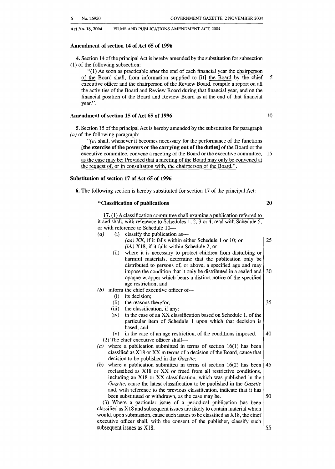#### **Amendment of section 14 of Act 65 of 1996**

**4.** Section 14 of the principal Act is hereby amended by the substitution for subsection (1) of the following subsection:

"( 1) As soon as practicable after the end of each financial year the chairperson of the Board shall, from information supplied to [it] the Board by the chief executive officer and the chairperson of the Review Board, compile a report on all the activities of the Board and Review Board during that financial year, and on the financial position of the Board and Review Board as at the end of that financial year.".

#### **Amendment of section 15 of Act 65 of 1996** 10

*5.* Section 15 of the principal Act is hereby amended by the substitution for paragraph *(a)* of the following paragraph:

*"(a)* shall, whenever it becomes necessary for the performance of the functions **[the exercise of the powers or the carrying out of the duties]** of the Board or the executive committee, convene a meeting of the Board or the executive committee, 15 as the case may be: Provided that a meeting of the Board may only be convened at the request of, or in consultation with, the chairperson of the Board.".

#### **Substitution of section 17 of Act 65 of 1996**

**6.** The following section is hereby substituted for section 17 of the principal Act:

#### **"Classification of publications** 20

5

| 17. (1) A classification committee shall examine a publication referred to                                      |    |  |
|-----------------------------------------------------------------------------------------------------------------|----|--|
| it and shall, with reference to Schedules 1, 2, 3 or 4, read with Schedule 5,                                   |    |  |
| or with reference to Schedule 10—                                                                               |    |  |
| (i)<br>classify the publication as—<br>(a)                                                                      |    |  |
| (aa) XX, if it falls within either Schedule 1 or 10; or                                                         | 25 |  |
| $(bb)$ X18, if it falls within Schedule 2; or                                                                   |    |  |
| where it is necessary to protect children from disturbing or<br>(ii)                                            |    |  |
| harmful materials, determine that the publication only be                                                       |    |  |
| distributed to persons of, or above, a specified age and may                                                    |    |  |
| impose the condition that it only be distributed in a sealed and                                                | 30 |  |
| opaque wrapper which bears a distinct notice of the specified                                                   |    |  |
| age restriction; and                                                                                            |    |  |
| (b) inform the chief executive officer of—                                                                      |    |  |
| its decision;<br>(i)                                                                                            | 35 |  |
| (ii)<br>the reasons therefor;                                                                                   |    |  |
| the classification, if any;<br>(iii)<br>in the case of an XX classification based on Schedule 1, of the<br>(iv) |    |  |
| particular item of Schedule 1 upon which that decision is                                                       |    |  |
| based; and                                                                                                      |    |  |
| in the case of an age restriction, of the conditions imposed.<br>(v)                                            | 40 |  |
| (2) The chief executive officer shall-                                                                          |    |  |
| where a publication submitted in terms of section $16(1)$ has been<br>(a)                                       |    |  |
| classified as X18 or XX in terms of a decision of the Board, cause that                                         |    |  |
| decision to be published in the Gazette;                                                                        |    |  |
| where a publication submitted in terms of section $16(2)$ has been<br>(b)                                       | 45 |  |
| reclassified as X18 or XX or freed from all restrictive conditions,                                             |    |  |
| including an X18 or XX classification, which was published in the                                               |    |  |
| Gazette, cause the latest classification to be published in the Gazette                                         |    |  |
| and, with reference to the previous classification, indicate that it has                                        |    |  |
| been substituted or withdrawn, as the case may be.                                                              | 50 |  |
| (3) Where a particular issue of a periodical publication has been                                               |    |  |
| classified as X18 and subsequent issues are likely to contain material which                                    |    |  |
| would, upon submission, cause such issues to be classified as X18, the chief                                    |    |  |
| executive officer shall, with the consent of the publisher, classify such                                       | 55 |  |
| subsequent issues as X18.                                                                                       |    |  |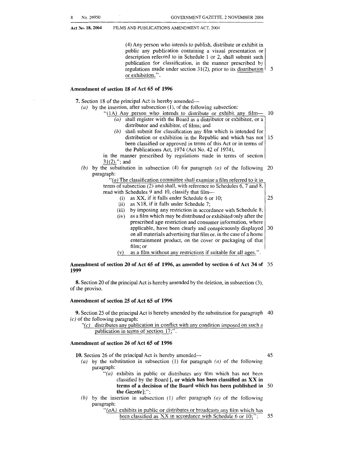(4) Any person who intends to publish, distribute or exhibit in

public any publication containing a visual presentation or description referred to in Schedule 1 or 2, shall submit such publication for classification, in the manner prescribed by regulations made under section 31(2), prior to its distribution or exhibition.". *5* 

#### **Amendment of section 18 of Act 65 of 1996**

**7.** Section 18 of the principal Act is hereby amended-

- *(a)* by the insertion, after subsection (I), of the following subsection:
	- "(1A) Any person who intends to distribute or exhibit any film- 10 *(a)* shall register with the Board as a distributor or exhibitor, or a
		- distributor and exhibitor, of films: and *(b)* shall submit for classification any film which is intended for
		- distribution or exhibition in the Republic and which has not 15 been classified or approved in terms of this Act or in terms of the Publications Act, 1974 (Act No. 42 of 1974),

in the manner prescribed by regulations made in terms of section 31(2)."; and

*(b)* by the substitution in subsection (4) for paragraph *(a)* of the following 20 paragraph:

> *"(a)* The classification committee shall examine a film referred to it in terms of subsection (2) and shall, with reference to Schedules 6,7 and 8,

- read with Schedules 9 and 10, classify that film-
	- (i) as XX, if it falls under Schedule 6 or 10;
	- (ii) as X18, if it falls under Schedule 7;
	- (iii) by imposing any restriction in accordance with Schedule 8;  $(iv)$  as a film which may be distributed or exhibited only after the
	- as a film which may be distributed or exhibited only after the prescribed age restriction and consumer information, where annihicable, have been clearly and conspicuously displayed 30 applicable, have been clearly and conspicuously displayed on all materials advertising that film or, in the case of a home entertainment product, on the cover or packaging of that film; or
	- (v) as a film without any restrictions if suitable for all ages.".

#### **Amendment of section 20 of Act 65 of 1996, as amended by section 6 of Act 34 of** *35*  **1999**

**8.** Section 20 of the principal Act is hereby amended by the deletion, in subsection *(3),*  of the proviso.

#### **Amendment of section 25 of Act 65 of 1996**

**9.** Section *25* of the principal Act is hereby amended by the substitution for paragraph 40  $(c)$  of the following paragraph:

 $\mathcal{C}(c)$  distributes any publication in conflict with any condition imposed on such a publication in terms of section 17;".

#### **Amendment of section 26 of Act 65 of 1996**

*25* 

- **10.** Section 26 of the principal Act is hereby amended—  $(a)$  by the substitution in subsection (1) for paragraph (a) of the following *(a)* by the substitution in subsection **(1)** for paragraph *(a)* of the following paragraph:
	- *"(a)* exhibits in public or distributes any film which has not been classified by the Board [, **or which has been classified as XX in terms of a decision of the Board which has been published in** *SO*  **the** *Gazette]:";*
	- *(6)* by the insertion in subsection **(1)** after paragraph *(a)* of the following paragraph:

" $(aA)$  exhibits in public or distributes or broadcasts any film which has been classified as XX in accordance with Schedule 6 or 10;": *5.5*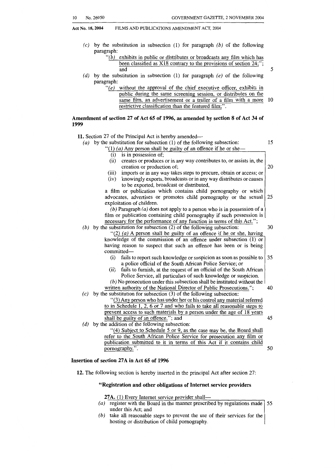5

**Act No. 18,2004** FILMS AND PUBLICATIONS AMENDMENT ACT, **2004** 

- (c) by the substitution in subsection (1) for paragraph *(b)* of the following paragraph:
	- $\hat{b}$  exhibits in public or distributes or broadcasts any film which has been classified **as** X18 contrary to the provisions of section 24;"; and
- *(d)* by the substitution in subsection (1) for paragraph (e) of the following paragraph:
	- $\mathcal{C}(e)$  without the approval of the chief executive officer, exhibits in public during the same screening session, or distributes on the same film, an advertisement or a trailer of a film with a more restrictive classification than the featured film; 10

#### **Amendment of section 27 of Act 65 of 1996, as amended by section 8 of Act 34 of 1999**

11. Section 27 of the Principal Act is hereby amended— *(a)* by the substitution for subsection (1) of the following subsection: "(1) (a) Any person shall be guilty of an offence if he or she-(i) is in possession of; (ii) creates or produces or in any way contributes to, or assists in, the (iii) imports or in any way takes steps to procure, obtain or access; or  $(iv)$  knowingly exports, broadcasts or in any way distributes or causes knowingly exports, broadcasts or in any way distributes or causes a film or publication which contains child pornography or which advocates, advertises or promotes child pornography or the sexual exploitation of children. *(b)* Paragraph *(a)* does not apply to a person who is in possession of a film or publication containing child pornography if such possession is necessary for the performance of any function in terms of this Act."; creation or production of; to be exported, broadcast or distributed, *(b)* by the substitution for subsection (2) of the following subsection: "(2) *(a)* A person shall be guilty of an offence if he or she, having knowledge of the commission of an offence under subsection (1) or having reason to suspect that such an offence has been or is being committed-15 20 *25 30*  (i) fails to report such knowledge or suspicion as soon as possible to (ii) fails to furnish, at the request of an official of the South African 35 *(b)* No prosecution under this subsection shall be instituted without the a police official of the South African Police Service; or Police Service, all particulars of such knowledge or suspicion. written authority of the National Director of Public Prosecutions."; 40 (c) by the substitution for subsection **(3)** of the following subsection: "(3) Any person who has under her or his control any material referred to in Schedule 1, **2, 6** or 7 and who fails to take all reasonable steps to prevent access to such materials by a person under the age of 18 years shall be guilty of an offence."; and *(d)* by the addition of the following subsection: "(4) Subject to Schedule 5 or 9, **as** the case may be, the Board shall refer to the South African Police Service for prosecution any film or publication submitted to it in terms of this Act if it contains child pornography.". **Insertion of section 27A in Act 65 of 1996**  45 *50* 

**12.** The following section is hereby inserted in the principal Act after section 27:

#### **"Registration and other obligations of Internet service providers**

27A. (1) Every Internet service provider shall-

- *(a)* register with the Board in the manner prescribed by regulations made 55 under this Act; and
- *(b)* take all reasonable steps to prevent the use of their services for the hosting or distribution of child pornography.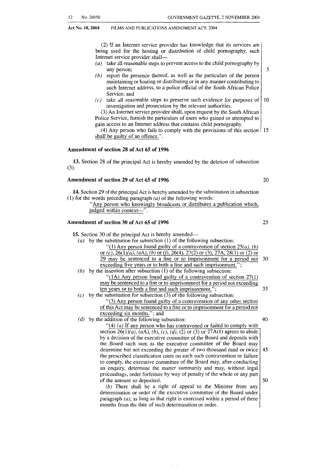(2) If an Internet service provider has knowledge that its services are being used for the hosting or distribution of child pornography, such Internet service provider shall-

- *(a)* take all reasonable steps to prevent access to the child pornography by any person;
- *(b)* report the presence thereof, as well as the particulars of the person maintaining or hosting or distributing or in any manner contributing to such Internet address, to a police official of the South African Police Service; and
- $(c)$  take all reasonable steps to preserve such evidence for purposes of  $10$ investigation and prosecution by the relevant authorities.

**(3)** An Internet service provider shall, upon request by the South African Police Service, furnish the particulars of users who gained or attempted to gain access to an Internet address that contains child pornography.

(4) Any person who fails to comply with the provisions of this section  $\frac{15}{15}$ shall be guilty of an offence.".

#### **Amendment of section 28 of Act 65 of 1996**

**13.** Section 28 of the principal Act is hereby amended by the deletion of subsection **(3).** 

#### **Amendment of section 29 of Act 65 of 1996** 20

**14.** Section 29 of the principal Act is hereby amended by the substitution in subsection (1) for the words preceding paragraph *(a)* of the following words:

Any person who knowingly broadcasts or distributes a publication which, judged within context-".

#### **Amendment of section 30 of Act 65 of 1996** 25

15. Section 30 of the principal Act is hereby amended-*(a)* by the substitution for subsection (1) of the following subsection: "(1) Any person found guilty of a contravention of section  $25(a)$ , *(b)* or *(c),* 26( l)(a), (aA), *(6)* or *If),* 26(4), 27(2) or *(3),* 27A, 28( 1) or (2) or 29 may be sentenced to a fine or to imprisonment for a period not 30 exceeding five years or to both a fine and such imprisonment."; *(b)* by the insertion after subsection (1) of the following subsection: "( **1A)** Any person found guilty of a contravention of section 27(1) may be sentenced to a fine or to imprisonment for a period not exceeding ten years or to both a fine and such imprisonment."; 35  $(c)$  by the substitution for subsection (3) of the following subsection: "(3) Any person found guilty of a contravention of any other section of this Act may be sentenced to a fine or to imprisonment for a period not exceeding six months."; and *(d)* by the addition of the following subsection: 40 "(4) *(a)* If any person who has contravened or failed to comply with section  $26(1)(a)$ ,  $(aA)$ ,  $(b)$ ,  $(c)$ ,  $(d)$ ,  $(2)$  or  $(3)$  or  $27A(1)$  agrees to abide by a decision of the executive committee of the Board and deposits with the Board such sum as the executive committee of the Board may determine but not exceeding the greater of two thousand rand or twice the prescribed classification costs on each such contravention or failure 45 to comply, the executive committee of the Board may, after conducting

> of the amount so deposited.  $\vert 50 \rangle$ *(6)* There shall be a right of appeal to the Minister from any determination or order of the executive committee of the Board under paragraph *(a),* as long as that right is exercised within a period of three months from the date of such determination or order.

an enquiry, determine the matter summarily and may, without legal

proceedings, order forfeiture by way of penalty of the whole or any part

5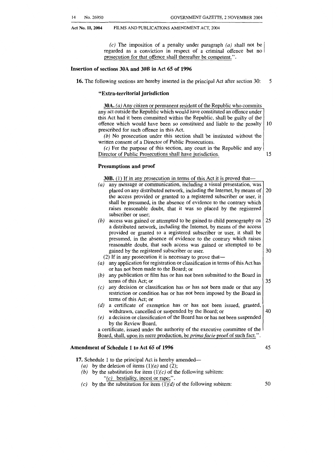(c) The imposition of a penalty under paragraph *(a)* shall not be regarded as a conviction in respect of a criminal offence but no prosecution for that offence shall thereafter be competent.".

#### **Insertion of sections 30A and 30B in Act 65 of 1996**

**16.** The following sections are hereby inserted in the principal Act after section 30: 5

#### **"Extra-territorial jurisdiction**

|     | any act outside the Republic which would have constituted an offence under<br>this Act had it been committed within the Republic, shall be guilty of the<br>offence which would have been so constituted and liable to the penalty |
|-----|------------------------------------------------------------------------------------------------------------------------------------------------------------------------------------------------------------------------------------|
|     | prescribed for such offence in this Act.                                                                                                                                                                                           |
|     | $(b)$ No prosecution under this section shall be instituted without the                                                                                                                                                            |
|     | written consent of a Director of Public Prosecutions.                                                                                                                                                                              |
|     | $(c)$ For the purpose of this section, any court in the Republic and any                                                                                                                                                           |
|     | Director of Public Prosecutions shall have jurisdiction.                                                                                                                                                                           |
|     | Presumptions and proof                                                                                                                                                                                                             |
|     | <b>30B.</b> (1) If in any prosecution in terms of this Act it is proved that—                                                                                                                                                      |
| (a) | any message or communication, including a visual presentation, was                                                                                                                                                                 |
|     | placed on any distributed network, including the Internet, by means of                                                                                                                                                             |
|     | the access provided or granted to a registered subscriber or user, it                                                                                                                                                              |
|     | shall be presumed, in the absence of evidence to the contrary which                                                                                                                                                                |
|     | raises reasonable doubt, that it was so placed by the registered                                                                                                                                                                   |
|     | subscriber or user;                                                                                                                                                                                                                |
| (b) | access was gained or attempted to be gained to child pornography on                                                                                                                                                                |
|     | a distributed network, including the Internet, by means of the access                                                                                                                                                              |
|     | provided or granted to a registered subscriber or user, it shall be                                                                                                                                                                |
|     | presumed, in the absence of evidence to the contrary which raises                                                                                                                                                                  |
|     | reasonable doubt, that such access was gained or attempted to be                                                                                                                                                                   |
|     | gained by the registered subscriber or user.                                                                                                                                                                                       |
|     | (2) If in any prosecution it is necessary to prove that—                                                                                                                                                                           |
| (a) | any application for registration or classification in terms of this Act has<br>or has not been made to the Board; or                                                                                                               |
|     |                                                                                                                                                                                                                                    |
| (b) | any publication or film has or has not been submitted to the Board in<br>terms of this Act; or                                                                                                                                     |
|     | any decision or classification has or has not been made or that any                                                                                                                                                                |
| (c) | restriction or condition has or has not been imposed by the Board in                                                                                                                                                               |
|     | terms of this Act; or                                                                                                                                                                                                              |
|     | a certificate of exemption has or has not been issued, granted,                                                                                                                                                                    |
| (d) | withdrawn, cancelled or suspended by the Board; or                                                                                                                                                                                 |
|     | a decision or classification of the Board has or has not been suspended                                                                                                                                                            |
| (e) | by the Review Board,                                                                                                                                                                                                               |
|     | a certificate, issued under the authority of the executive committee of the                                                                                                                                                        |
|     |                                                                                                                                                                                                                                    |

#### **Amendment of Schedule 1 to Act 65 of 1996** 45

17. Schedule 1 to the principal Act is hereby amended—

- (a) by the deletion of items  $(1)(a)$  and  $(2)$ ;
- (b) by the substitution for item  $(1)(c)$  of the following subitem:  $(c)$  bestiality, incest or rape;".
- (c) by the the substitution for item  $(1)(d)$  of the following subitem:
- *50*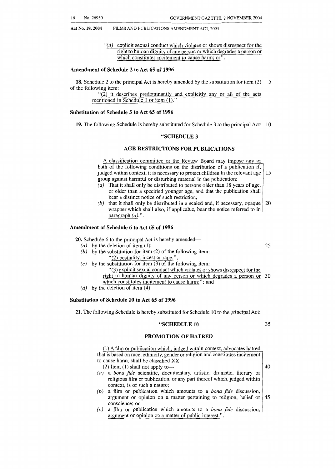*"(d)* explicit sexual conduct which violates or shows disrespect for the right to human dignity of any person or which degrades a person or which constitutes incitement to cause harm; or".

#### **Amendment of Schedule 2 to Act 65 of 1996**

**18.** Schedule 2 to the principal Act is hereby amended by the substitution for item *(2)*  of the following item: *5* 

> $(2)$  it describes predominantly and explicitly any or all of the acts mentioned in Schedule 1 or item (1).

#### **Substitution of Schedule 3 to Act 65 of 1996**

**19.** The following Schedule is hereby substituted for Schedule 3 to the principal Act: 10

#### **"SCHEDULE 3**

#### **AGE RESTRICTIONS FOR PUBLICATIONS**

**A** classification committee or the Review Board may impose any or both of the following conditions on the distribution of a publication if, judged within context, it is necessary to protect children in the relevant age 15 group against harmful or disturbing material in the publication:

- *(a)* That it shall only be distributed to persons older than 18 years of age, or older than a specified younger age, and that the publication shall bear a distinct notice of such restriction;
- (b) that it shall only be distributed in a sealed and, if necessary, opaque  $\vert$  20 wrapper which shall also, if applicable, bear the notice referred to in paragraph *(a).".*

#### **Amendment of Schedule 6 to Act 65 of 1996**

**20.** Schedule 6 to the principal Act is hereby amended-

- *(a)* by the deletion of item (1);
- *(b)* by the substitution for item *(2)* of the following item: *"(2)* bestiality, incest or rape;";
- *(c)* by the substitution for item **(3)** of the following item:
	- "(3) explicit sexual conduct which violates or shows disrespect for the right to human dignity of any person or which degrades a person or 30 which constitutes incitement to cause harm;"; and
- *(d)* by the deletion of item (4).

#### **Substitution of Schedule 10 to Act 65 of 1996**

**21.** The following Schedule is hereby substituted for Schedule 10 to the principal Act:

#### **"SCHEDULE 10** 35

*25* 

#### **PROMOTION OF HATRED**

(1) A film or publication which, judged within context, advocates hatred that is based on race, ethnicity, gender or religion and constitutes incitement to cause harm, shall be classified XX. (2) Item (1) shall not apply to- $\frac{40}{40}$ 

- *(aj* a *bona \$de* scientific, documentary, artistic, dramatic, literary or religious film or publication, or any part thereof which, judged within context, is of such a nature;
- *(b)* a film or publication which amounts to a *bona fide* discussion, argument or opinion on a matter pertaining to religion, belief or  $|45$ conscience; or
- argument or opinion on a matter of public interest.". *(c)* a film or publication which amounts to a *bona jide* discussion,